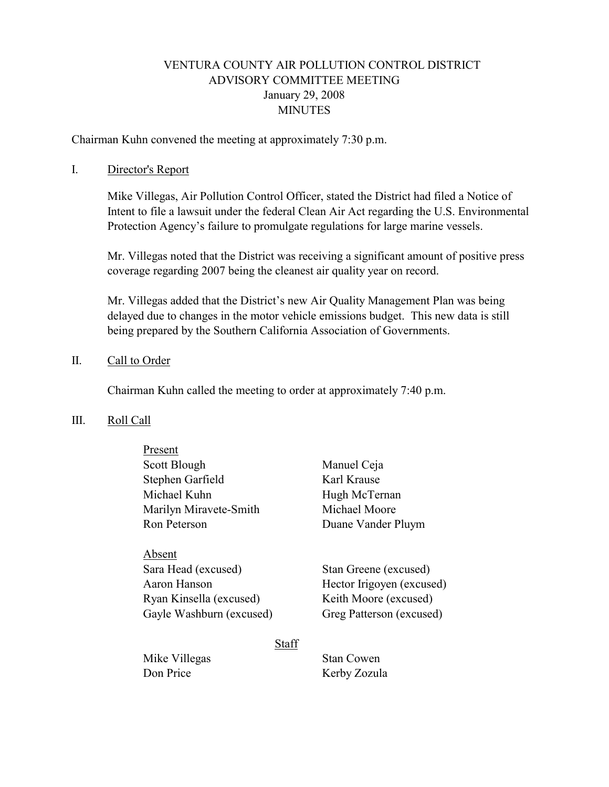# VENTURA COUNTY AIR POLLUTION CONTROL DISTRICT ADVISORY COMMITTEE MEETING January 29, 2008 **MINUTES**

Chairman Kuhn convened the meeting at approximately 7:30 p.m.

# I. Director's Report

 Mike Villegas, Air Pollution Control Officer, stated the District had filed a Notice of Intent to file a lawsuit under the federal Clean Air Act regarding the U.S. Environmental Protection Agency's failure to promulgate regulations for large marine vessels.

Mr. Villegas noted that the District was receiving a significant amount of positive press coverage regarding 2007 being the cleanest air quality year on record.

Mr. Villegas added that the District's new Air Quality Management Plan was being delayed due to changes in the motor vehicle emissions budget. This new data is still being prepared by the Southern California Association of Governments.

# II. Call to Order

Chairman Kuhn called the meeting to order at approximately 7:40 p.m.

#### III. Roll Call

| Present                |                       |
|------------------------|-----------------------|
| Scott Blough           | Manuel Ceja           |
| Stephen Garfield       | Karl Krause           |
| Michael Kuhn           | Hugh McTernan         |
| Marilyn Miravete-Smith | Michael Moore         |
| Ron Peterson           | Duane Vander Pluym    |
| Absent                 |                       |
| Sara Head (excused)    | Stan Greene (excused) |

Aaron Hanson Hector Irigoyen (excused) Ryan Kinsella (excused) Keith Moore (excused) Gayle Washburn (excused) Greg Patterson (excused)

**Staff** 

Mike Villegas Stan Cowen Don Price Kerby Zozula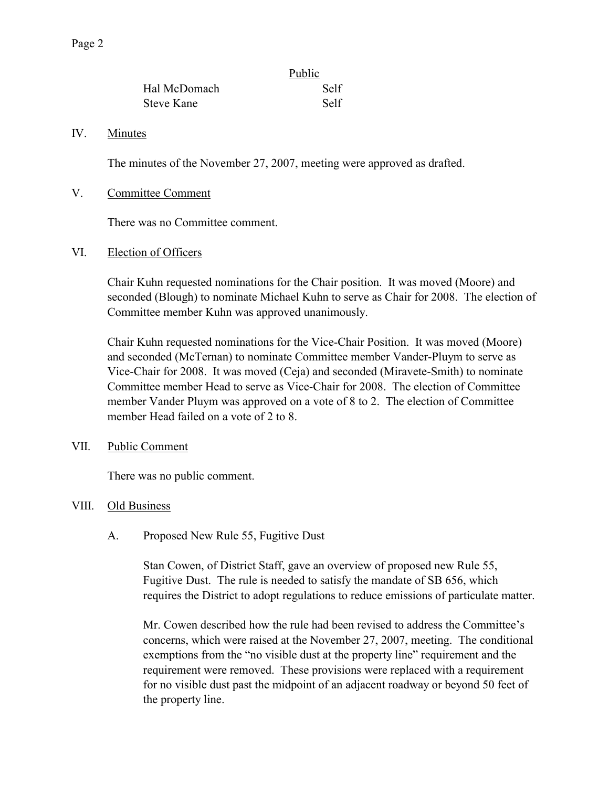|              | Public |
|--------------|--------|
| Hal McDomach | Self   |
| Steve Kane   | Self   |

# IV. Minutes

The minutes of the November 27, 2007, meeting were approved as drafted.

V. Committee Comment

There was no Committee comment.

VI. Election of Officers

Chair Kuhn requested nominations for the Chair position. It was moved (Moore) and seconded (Blough) to nominate Michael Kuhn to serve as Chair for 2008. The election of Committee member Kuhn was approved unanimously.

Chair Kuhn requested nominations for the Vice-Chair Position. It was moved (Moore) and seconded (McTernan) to nominate Committee member Vander-Pluym to serve as Vice-Chair for 2008. It was moved (Ceja) and seconded (Miravete-Smith) to nominate Committee member Head to serve as Vice-Chair for 2008. The election of Committee member Vander Pluym was approved on a vote of 8 to 2. The election of Committee member Head failed on a vote of 2 to 8.

# VII. Public Comment

There was no public comment.

# VIII. Old Business

A. Proposed New Rule 55, Fugitive Dust

Stan Cowen, of District Staff, gave an overview of proposed new Rule 55, Fugitive Dust. The rule is needed to satisfy the mandate of SB 656, which requires the District to adopt regulations to reduce emissions of particulate matter.

Mr. Cowen described how the rule had been revised to address the Committee's concerns, which were raised at the November 27, 2007, meeting. The conditional exemptions from the "no visible dust at the property line" requirement and the requirement were removed. These provisions were replaced with a requirement for no visible dust past the midpoint of an adjacent roadway or beyond 50 feet of the property line.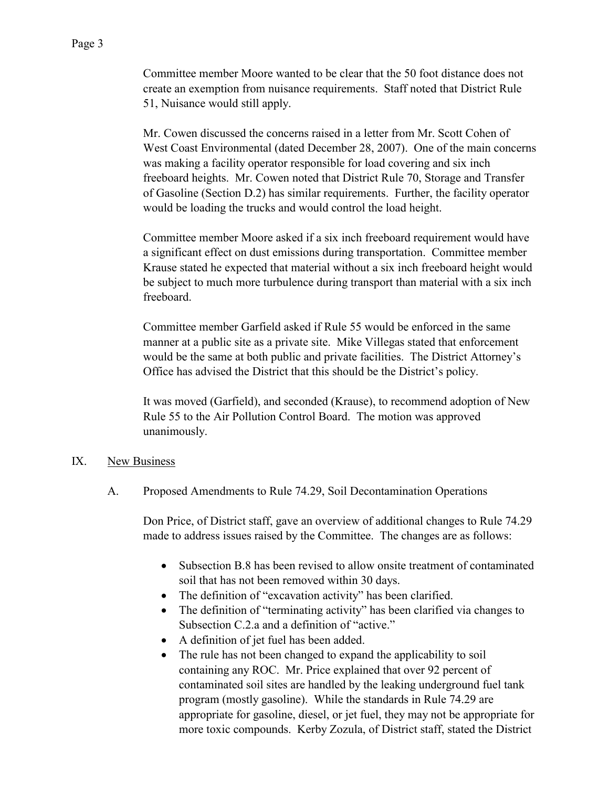Committee member Moore wanted to be clear that the 50 foot distance does not create an exemption from nuisance requirements. Staff noted that District Rule 51, Nuisance would still apply.

Mr. Cowen discussed the concerns raised in a letter from Mr. Scott Cohen of West Coast Environmental (dated December 28, 2007). One of the main concerns was making a facility operator responsible for load covering and six inch freeboard heights. Mr. Cowen noted that District Rule 70, Storage and Transfer of Gasoline (Section D.2) has similar requirements. Further, the facility operator would be loading the trucks and would control the load height.

Committee member Moore asked if a six inch freeboard requirement would have a significant effect on dust emissions during transportation. Committee member Krause stated he expected that material without a six inch freeboard height would be subject to much more turbulence during transport than material with a six inch freeboard.

Committee member Garfield asked if Rule 55 would be enforced in the same manner at a public site as a private site. Mike Villegas stated that enforcement would be the same at both public and private facilities. The District Attorney's Office has advised the District that this should be the District's policy.

It was moved (Garfield), and seconded (Krause), to recommend adoption of New Rule 55 to the Air Pollution Control Board. The motion was approved unanimously.

# IX. New Business

A. Proposed Amendments to Rule 74.29, Soil Decontamination Operations

Don Price, of District staff, gave an overview of additional changes to Rule 74.29 made to address issues raised by the Committee. The changes are as follows:

- Subsection B.8 has been revised to allow onsite treatment of contaminated soil that has not been removed within 30 days.
- The definition of "excavation activity" has been clarified.
- The definition of "terminating activity" has been clarified via changes to Subsection C.2.a and a definition of "active."
- A definition of jet fuel has been added.
- The rule has not been changed to expand the applicability to soil containing any ROC. Mr. Price explained that over 92 percent of contaminated soil sites are handled by the leaking underground fuel tank program (mostly gasoline). While the standards in Rule 74.29 are appropriate for gasoline, diesel, or jet fuel, they may not be appropriate for more toxic compounds. Kerby Zozula, of District staff, stated the District